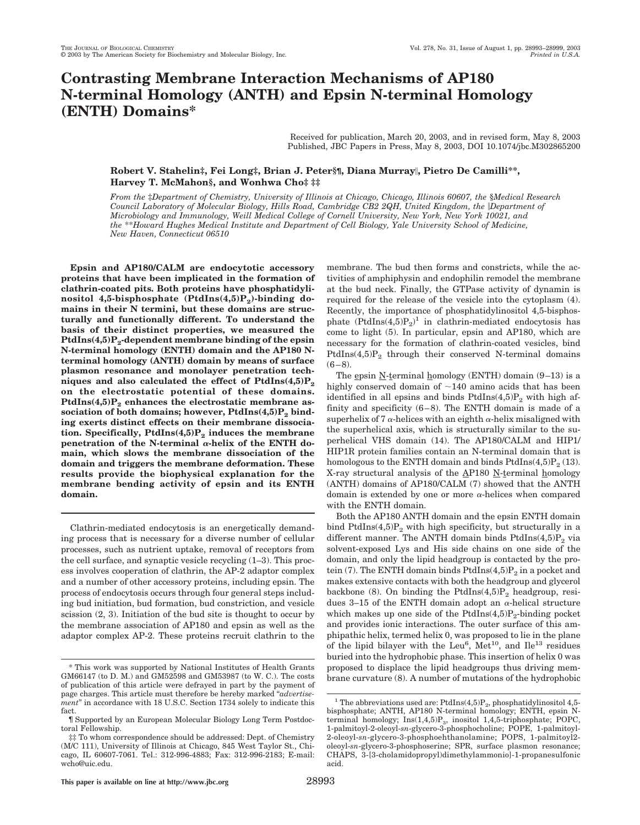# **Contrasting Membrane Interaction Mechanisms of AP180 N-terminal Homology (ANTH) and Epsin N-terminal Homology (ENTH) Domains\***

Received for publication, March 20, 2003, and in revised form, May 8, 2003 Published, JBC Papers in Press, May 8, 2003, DOI 10.1074/jbc.M302865200

# **Robert V. Stahelin‡, Fei Long‡, Brian J. Peter§¶, Diana Murray, Pietro De Camilli\*\*, Harvey T. McMahon§, and Wonhwa Cho‡ ‡‡**

*From the* ‡*Department of Chemistry, University of Illinois at Chicago, Chicago, Illinois 60607, the* §*Medical Research Council Laboratory of Molecular Biology, Hills Road, Cambridge CB2 2QH, United Kingdom, the Department of Microbiology and Immunology, Weill Medical College of Cornell University, New York, New York 10021, and the* \*\**Howard Hughes Medical Institute and Department of Cell Biology, Yale University School of Medicine, New Haven, Connecticut 06510*

**Epsin and AP180/CALM are endocytotic accessory proteins that have been implicated in the formation of clathrin-coated pits. Both proteins have phosphatidyli**nositol 4,5-bisphosphate (PtdIns(4,5)P<sub>2</sub>)-binding do**mains in their N termini, but these domains are structurally and functionally different. To understand the basis of their distinct properties, we measured the** PtdIns(4,5)P<sub>2</sub>-dependent membrane binding of the epsin **N-terminal homology (ENTH) domain and the AP180 Nterminal homology (ANTH) domain by means of surface plasmon resonance and monolayer penetration tech**niques and also calculated the effect of  $PtdIns(4,5)P_2$ **on the electrostatic potential of these domains.** PtdIns(4,5)P<sub>2</sub> enhances the electrostatic membrane association of both domains; however, PtdIns(4,5)P<sub>2</sub> bind**ing exerts distinct effects on their membrane dissocia**tion. Specifically, PtdIns(4,5)P<sub>2</sub> induces the membrane penetration of the N-terminal  $\alpha$ -helix of the ENTH do**main, which slows the membrane dissociation of the domain and triggers the membrane deformation. These results provide the biophysical explanation for the membrane bending activity of epsin and its ENTH domain.**

Clathrin-mediated endocytosis is an energetically demanding process that is necessary for a diverse number of cellular processes, such as nutrient uptake, removal of receptors from the cell surface, and synaptic vesicle recycling (1–3). This process involves cooperation of clathrin, the AP-2 adaptor complex and a number of other accessory proteins, including epsin. The process of endocytosis occurs through four general steps including bud initiation, bud formation, bud constriction, and vesicle scission (2, 3). Initiation of the bud site is thought to occur by the membrane association of AP180 and epsin as well as the adaptor complex AP-2. These proteins recruit clathrin to the membrane. The bud then forms and constricts, while the activities of amphiphysin and endophilin remodel the membrane at the bud neck. Finally, the GTPase activity of dynamin is required for the release of the vesicle into the cytoplasm (4). Recently, the importance of phosphatidylinositol 4,5-bisphosphate  $(PtdIns(4,5)P_2)^1$  in clathrin-mediated endocytosis has come to light (5). In particular, epsin and AP180, which are necessary for the formation of clathrin-coated vesicles, bind PtdIns $(4,5)P_2$  through their conserved N-terminal domains  $(6-8)$ .

The epsin  $N$ -terminal homology (ENTH) domain  $(9-13)$  is a highly conserved domain of  $\sim$ 140 amino acids that has been identified in all epsins and binds  $PtdIns(4,5)P_2$  with high affinity and specificity (6–8). The ENTH domain is made of a superhelix of 7  $\alpha$ -helices with an eighth  $\alpha$ -helix misaligned with the superhelical axis, which is structurally similar to the superhelical VHS domain (14). The AP180/CALM and HIP1/ HIP1R protein families contain an N-terminal domain that is homologous to the ENTH domain and binds  $PtdIns(4,5)P_2(13)$ . X-ray structural analysis of the AP180 N-terminal homology (ANTH) domains of AP180/CALM (7) showed that the ANTH domain is extended by one or more  $\alpha$ -helices when compared with the ENTH domain.

Both the AP180 ANTH domain and the epsin ENTH domain bind PtdIns $(4,5)P_2$  with high specificity, but structurally in a different manner. The ANTH domain binds  $PtdIns(4,5)P_2$  via solvent-exposed Lys and His side chains on one side of the domain, and only the lipid headgroup is contacted by the protein (7). The ENTH domain binds  $PtdIns(4,5)P<sub>2</sub>$  in a pocket and makes extensive contacts with both the headgroup and glycerol backbone (8). On binding the PtdIns(4,5) $P_2$  headgroup, residues 3-15 of the ENTH domain adopt an  $\alpha$ -helical structure which makes up one side of the PtdIns $(4,5)P_2$ -binding pocket and provides ionic interactions. The outer surface of this amphipathic helix, termed helix 0, was proposed to lie in the plane of the lipid bilayer with the Leu<sup>6</sup>, Met<sup>10</sup>, and  $Ilel<sup>13</sup>$  residues buried into the hydrophobic phase. This insertion of helix 0 was proposed to displace the lipid headgroups thus driving membrane curvature (8). A number of mutations of the hydrophobic

<sup>\*</sup> This work was supported by National Institutes of Health Grants GM66147 (to D. M.) and GM52598 and GM53987 (to W. C.). The costs of publication of this article were defrayed in part by the payment of page charges. This article must therefore be hereby marked "*advertisement*" in accordance with 18 U.S.C. Section 1734 solely to indicate this fact.

<sup>¶</sup> Supported by an European Molecular Biology Long Term Postdoctoral Fellowship.

<sup>‡‡</sup> To whom correspondence should be addressed: Dept. of Chemistry (M/C 111), University of Illinois at Chicago, 845 West Taylor St., Chicago, IL 60607-7061. Tel.: 312-996-4883; Fax: 312-996-2183; E-mail: wcho@uic.edu.

<sup>&</sup>lt;sup>1</sup> The abbreviations used are: PtdIns(4,5) $P_2$ , phosphatidylinositol 4,5bisphosphate; ANTH, AP180 N-terminal homology; ENTH, epsin Nterminal homology;  $Ins(1,4,5)P_3$ , inositol 1,4,5-triphosphate; POPC, 1-palmitoyl-2-oleoyl-*sn*-glycero-3-phosphocholine; POPE, 1-palmitoyl-2-oleoyl-*sn*-glycero-3-phosphoehthanolamine; POPS, 1-palmitoyl2 oleoyl-*sn*-glycero-3-phosphoserine; SPR, surface plasmon resonance; CHAPS, 3-[3-cholamidopropyl)dimethylammonio]-1-propanesulfonic acid.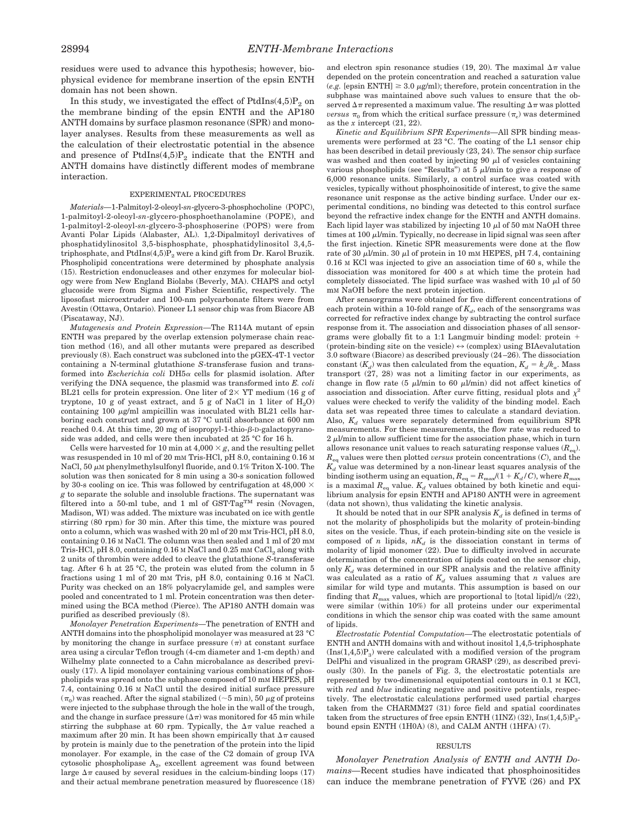residues were used to advance this hypothesis; however, biophysical evidence for membrane insertion of the epsin ENTH domain has not been shown.

In this study, we investigated the effect of  $PtdIns(4,5)P_2$  on the membrane binding of the epsin ENTH and the AP180 ANTH domains by surface plasmon resonance (SPR) and monolayer analyses. Results from these measurements as well as the calculation of their electrostatic potential in the absence and presence of  $PtdIns(4,5)P_2$  indicate that the ENTH and ANTH domains have distinctly different modes of membrane interaction.

#### EXPERIMENTAL PROCEDURES

*Materials—*1-Palmitoyl-2-oleoyl-*sn*-glycero-3-phosphocholine (POPC), 1-palmitoyl-2-oleoyl-*sn*-glycero-phosphoethanolamine (POPE), and 1-palmitoyl-2-oleoyl-*sn*-glycero-3-phosphoserine (POPS) were from Avanti Polar Lipids (Alabaster, AL). 1,2-Dipalmitoyl derivatives of phosphatidylinositol 3,5-bisphosphate, phosphatidylinositol 3,4,5 triphosphate, and PtdIns $(4,5)P_2$  were a kind gift from Dr. Karol Bruzik. Phospholipid concentrations were determined by phosphate analysis (15). Restriction endonucleases and other enzymes for molecular biology were from New England Biolabs (Beverly, MA). CHAPS and octyl glucoside were from Sigma and Fisher Scientific, respectively. The liposofast microextruder and 100-nm polycarbonate filters were from Avestin (Ottawa, Ontario). Pioneer L1 sensor chip was from Biacore AB (Piscataway, NJ).

*Mutagenesis and Protein Expression—*The R114A mutant of epsin ENTH was prepared by the overlap extension polymerase chain reaction method (16), and all other mutants were prepared as described previously (8). Each construct was subcloned into the pGEX-4T-1 vector containing a N-terminal glutathione *S*-transferase fusion and transformed into *Escherichia coli* DH5 $\alpha$  cells for plasmid isolation. After verifying the DNA sequence, the plasmid was transformed into *E. coli* BL21 cells for protein expression. One liter of  $2\times$  YT medium (16 g of tryptone, 10 g of yeast extract, and 5 g of NaCl in 1 liter of  $H<sub>2</sub>O$ ) containing 100  $\mu$ g/ml ampicillin was inoculated with BL21 cells harboring each construct and grown at 37 °C until absorbance at 600 nm reached 0.4. At this time, 20 mg of isopropyl-1-thio- $\beta$ -D-galactopyranoside was added, and cells were then incubated at 25 °C for 16 h.

Cells were harvested for 10 min at  $4,000 \times g$ , and the resulting pellet was resuspended in 10 ml of 20 mM Tris-HCl, pH 8.0, containing 0.16 M NaCl, 50  $\mu$ M phenylmethylsulfonyl fluoride, and 0.1% Triton X-100. The solution was then sonicated for 8 min using a 30-s sonication followed by 30-s cooling on ice. This was followed by centrifugation at 48,000  $\times$ *g* to separate the soluble and insoluble fractions. The supernatant was filtered into a 50-ml tube, and 1 ml of GST·Tag<sup>TM</sup> resin (Novagen, Madison, WI) was added. The mixture was incubated on ice with gentle stirring (80 rpm) for 30 min. After this time, the mixture was poured onto a column, which was washed with 20 ml of 20 mM Tris-HCl, pH 8.0, containing 0.16 M NaCl. The column was then sealed and 1 ml of 20 mM Tris-HCl,  $pH 8.0$ , containing 0.16 M NaCl and 0.25 mM CaCl<sub>2</sub> along with 2 units of thrombin were added to cleave the glutathione *S*-transferase tag. After 6 h at 25 °C, the protein was eluted from the column in 5 fractions using 1 ml of 20 mM Tris, pH 8.0, containing 0.16 M NaCl. Purity was checked on an 18% polyacrylamide gel, and samples were pooled and concentrated to 1 ml. Protein concentration was then determined using the BCA method (Pierce). The AP180 ANTH domain was purified as described previously (8).

*Monolayer Penetration Experiments—*The penetration of ENTH and ANTH domains into the phospholipid monolayer was measured at 23 °C by monitoring the change in surface pressure  $(\pi)$  at constant surface area using a circular Teflon trough (4-cm diameter and 1-cm depth) and Wilhelmy plate connected to a Cahn microbalance as described previously (17). A lipid monolayer containing various combinations of phospholipids was spread onto the subphase composed of 10 mM HEPES, pH 7.4, containing 0.16 M NaCl until the desired initial surface pressure  $(\pi_0)$  was reached. After the signal stabilized (~5 min), 50  $\mu$ g of proteins were injected to the subphase through the hole in the wall of the trough, and the change in surface pressure  $(\Delta \pi)$  was monitored for 45 min while stirring the subphase at 60 rpm. Typically, the  $\Delta \pi$  value reached a maximum after 20 min. It has been shown empirically that  $\Delta \pi$  caused by protein is mainly due to the penetration of the protein into the lipid monolayer. For example, in the case of the C2 domain of group IVA cytosolic phospholipase A<sub>2</sub>, excellent agreement was found between large  $\Delta \pi$  caused by several residues in the calcium-binding loops (17) and their actual membrane penetration measured by fluorescence (18) and electron spin resonance studies (19, 20). The maximal  $\Delta \pi$  value depended on the protein concentration and reached a saturation value (*e.g.* [epsin ENTH]  $\geq 3.0 \mu$ g/ml); therefore, protein concentration in the subphase was maintained above such values to ensure that the observed  $\Delta \pi$  represented a maximum value. The resulting  $\Delta \pi$  was plotted *versus*  $\pi_0$  from which the critical surface pressure  $(\pi_0)$  was determined as the *x* intercept (21, 22).

*Kinetic and Equilibrium SPR Experiments—*All SPR binding measurements were performed at 23 °C. The coating of the L1 sensor chip has been described in detail previously (23, 24). The sensor chip surface was washed and then coated by injecting  $90 \mu l$  of vesicles containing various phospholipids (see "Results") at  $5 \mu$ l/min to give a response of 6,000 resonance units. Similarly, a control surface was coated with vesicles, typically without phosphoinositide of interest, to give the same resonance unit response as the active binding surface. Under our experimental conditions, no binding was detected to this control surface beyond the refractive index change for the ENTH and ANTH domains. Each lipid layer was stabilized by injecting  $10 \mu$  of  $50 \text{ mm}$  NaOH three times at  $100 \mu$ l/min. Typically, no decrease in lipid signal was seen after the first injection. Kinetic SPR measurements were done at the flow rate of 30  $\mu$ l/min. 30  $\mu$ l of protein in 10 mm HEPES, pH 7.4, containing 0.16 M KCl was injected to give an association time of 60 s, while the dissociation was monitored for 400 s at which time the protein had completely dissociated. The lipid surface was washed with 10  $\mu$ l of 50 mM NaOH before the next protein injection.

After sensorgrams were obtained for five different concentrations of each protein within a 10-fold range of  $K_d$ , each of the sensorgrams was corrected for refractive index change by subtracting the control surface response from it. The association and dissociation phases of all sensorgrams were globally fit to a 1:1 Langmuir binding model: protein  $+$ (protein-binding site on the vesicle)  $\Leftrightarrow$  (complex) using BIAevalutation 3.0 software (Biacore) as described previously (24–26). The dissociation constant  $(K_d)$  was then calculated from the equation,  $K_d = k_d/k_a$ . Mass transport (27, 28) was not a limiting factor in our experiments, as change in flow rate  $(5 \mu l/min)$  to 60  $\mu l/min$ ) did not affect kinetics of association and dissociation. After curve fitting, residual plots and  $\chi^2$ values were checked to verify the validity of the binding model. Each data set was repeated three times to calculate a standard deviation. Also,  $K_d$  values were separately determined from equilibrium SPR measurements. For these measurements, the flow rate was reduced to  $2 \mu$ /min to allow sufficient time for the association phase, which in turn allows resonance unit values to reach saturating response values  $(R_{eq})$ . *R*eq values were then plotted *versus* protein concentrations (*C*), and the  $K_d$  value was determined by a non-linear least squares analysis of the binding isotherm using an equation,  $R_{eq} = R_{max}/(1 + K_d/C)$ , where  $R_{max}$ is a maximal  $R_{eq}$  value.  $K_d$  values obtained by both kinetic and equilibrium analysis for epsin ENTH and AP180 ANTH were in agreement (data not shown), thus validating the kinetic analysis.

It should be noted that in our SPR analysis  $K_d$  is defined in terms of not the molarity of phospholipids but the molarity of protein-binding sites on the vesicle. Thus, if each protein-binding site on the vesicle is composed of *n* lipids,  $nK_d$  is the dissociation constant in terms of molarity of lipid monomer (22). Due to difficulty involved in accurate determination of the concentration of lipids coated on the sensor chip, only  $K_d$  was determined in our SPR analysis and the relative affinity was calculated as a ratio of  $K_d$  values assuming that *n* values are similar for wild type and mutants. This assumption is based on our finding that  $R_{\text{max}}$  values, which are proportional to [total lipid]/*n* (22), were similar (within 10%) for all proteins under our experimental conditions in which the sensor chip was coated with the same amount of lipids.

*Electrostatic Potential Computation—*The electrostatic potentials of ENTH and ANTH domains with and without inositol 1,4,5-triphosphate  $(Ins(1,4,5)P_3)$  were calculated with a modified version of the program DelPhi and visualized in the program GRASP (29), as described previously (30). In the panels of Fig. 3, the electrostatic potentials are represented by two-dimensional equipotential contours in 0.1 M KCl, with *red* and *blue* indicating negative and positive potentials, respectively. The electrostatic calculations performed used partial charges taken from the CHARMM27 (31) force field and spatial coordinates taken from the structures of free epsin ENTH (1INZ) (32),  $Ins(1,4,5)P_3$ bound epsin ENTH (1H0A) (8), and CALM ANTH (1HFA) (7).

## RESULTS

*Monolayer Penetration Analysis of ENTH and ANTH Domains—*Recent studies have indicated that phosphoinositides can induce the membrane penetration of FYVE (26) and PX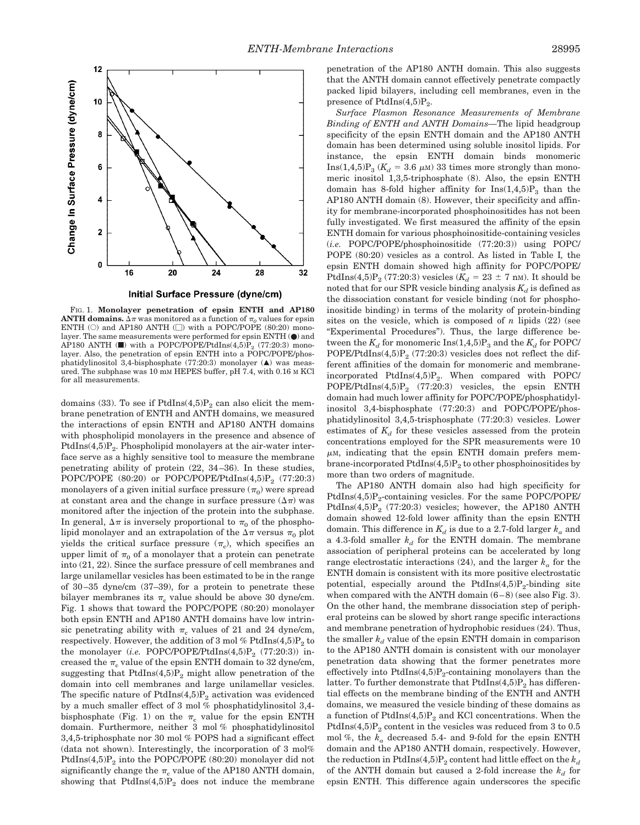



FIG. 1. **Monolayer penetration of epsin ENTH and AP180 ANTH domains.**  $\Delta \pi$  was monitored as a function of  $\pi$ <sub>o</sub> values for epsin ENTH (O) and AP180 ANTH ( $\square$ ) with a POPC/POPE (80:20) monolayer. The same measurements were performed for epsin ENTH (●) and AP180 ANTH ( $\blacksquare$ ) with a POPC/POPE/PtdIns(4,5) $\dot{P}_2$  (77:20:3) monolayer. Also, the penetration of epsin ENTH into a POPC/POPE/phosphatidylinositol 3,4-bisphosphate (77:20:3) monolayer  $(\triangle)$  was measured. The subphase was 10 mM HEPES buffer, pH 7.4, with 0.16 M KCl for all measurements.

domains (33). To see if  $PtdIns(4,5)P_2$  can also elicit the membrane penetration of ENTH and ANTH domains, we measured the interactions of epsin ENTH and AP180 ANTH domains with phospholipid monolayers in the presence and absence of PtdIns $(4,5)P_2$ . Phospholipid monolayers at the air-water interface serve as a highly sensitive tool to measure the membrane penetrating ability of protein (22, 34–36). In these studies, POPC/POPE  $(80:20)$  or POPC/POPE/PtdIns $(4,5)P_2$  (77:20:3) monolayers of a given initial surface pressure  $(\pi_0)$  were spread at constant area and the change in surface pressure  $(\Delta \pi)$  was monitored after the injection of the protein into the subphase. In general,  $\Delta \pi$  is inversely proportional to  $\pi_0$  of the phospholipid monolayer and an extrapolation of the  $\Delta \pi$  versus  $\pi_0$  plot yields the critical surface pressure  $(\pi_c)$ , which specifies an upper limit of  $\pi_0$  of a monolayer that a protein can penetrate into (21, 22). Since the surface pressure of cell membranes and large unilamellar vesicles has been estimated to be in the range of 30–35 dyne/cm (37–39), for a protein to penetrate these bilayer membranes its  $\pi_c$  value should be above 30 dyne/cm. Fig. 1 shows that toward the POPC/POPE (80:20) monolayer both epsin ENTH and AP180 ANTH domains have low intrinsic penetrating ability with  $\pi_c$  values of 21 and 24 dyne/cm, respectively. However, the addition of 3 mol %  $PtdIns(4,5)P_2$  to the monolayer (*i.e.* POPC/POPE/PtdIns $(4,5)P_2$  (77:20:3)) increased the  $\pi_c$  value of the epsin ENTH domain to 32 dyne/cm, suggesting that  $PtdIns(4,5)P_2$  might allow penetration of the domain into cell membranes and large unilamellar vesicles. The specific nature of  $PtdIns(4,5)P_2$  activation was evidenced by a much smaller effect of 3 mol % phosphatidylinositol 3,4 bisphosphate (Fig. 1) on the  $\pi_c$  value for the epsin ENTH domain. Furthermore, neither 3 mol % phosphatidylinositol 3,4,5-triphosphate nor 30 mol % POPS had a significant effect (data not shown). Interestingly, the incorporation of 3 mol% PtdIns $(4,5)P_2$  into the POPC/POPE (80:20) monolayer did not significantly change the  $\pi_c$  value of the AP180 ANTH domain, showing that  $PtdIns(4,5)P_2$  does not induce the membrane

penetration of the AP180 ANTH domain. This also suggests that the ANTH domain cannot effectively penetrate compactly packed lipid bilayers, including cell membranes, even in the presence of PtdIns $(4,5)P_2$ .

*Surface Plasmon Resonance Measurements of Membrane Binding of ENTH and ANTH Domains—*The lipid headgroup specificity of the epsin ENTH domain and the AP180 ANTH domain has been determined using soluble inositol lipids. For instance, the epsin ENTH domain binds monomeric  $\text{Ins}(1,4,5) \text{P}_3$  ( $K_d = 3.6 \mu \text{m}$ ) 33 times more strongly than monomeric inositol 1,3,5-triphosphate (8). Also, the epsin ENTH domain has 8-fold higher affinity for  $Ins(1,4,5)P_3$  than the AP180 ANTH domain (8). However, their specificity and affinity for membrane-incorporated phosphoinositides has not been fully investigated. We first measured the affinity of the epsin ENTH domain for various phosphoinositide-containing vesicles (*i.e.* POPC/POPE/phosphoinositide (77:20:3)) using POPC/ POPE (80:20) vesicles as a control. As listed in Table I*,* the epsin ENTH domain showed high affinity for POPC/POPE/ PtdIns(4,5)P<sub>2</sub> (77:20:3) vesicles ( $K_d = 23 \pm 7$  nm). It should be noted that for our SPR vesicle binding analysis  $K_d$  is defined as the dissociation constant for vesicle binding (not for phosphoinositide binding) in terms of the molarity of protein-binding sites on the vesicle, which is composed of  $n$  lipids  $(22)$  (see "Experimental Procedures"). Thus, the large difference between the  $K_d$  for monomeric Ins(1,4,5) $P_3$  and the  $K_d$  for POPC/ POPE/PtdIns $(4,5)P_2$  (77:20:3) vesicles does not reflect the different affinities of the domain for monomeric and membraneincorporated PtdIns $(4,5)P_2$ . When compared with POPC/ POPE/PtdIns $(4,5)P_2$  (77:20:3) vesicles, the epsin ENTH domain had much lower affinity for POPC/POPE/phosphatidylinositol 3,4-bisphosphate (77:20:3) and POPC/POPE/phosphatidylinositol 3,4,5-trisphosphate (77:20:3) vesicles. Lower estimates of  $K_d$  for these vesicles assessed from the protein concentrations employed for the SPR measurements were 10  $\mu$ M, indicating that the epsin ENTH domain prefers membrane-incorporated PtdIns $(4,5)P_2$  to other phosphoinositides by more than two orders of magnitude.

The AP180 ANTH domain also had high specificity for PtdIns $(4,5)P_2$ -containing vesicles. For the same POPC/POPE/ PtdIns $(4,5)P_2$  (77:20:3) vesicles; however, the AP180 ANTH domain showed 12-fold lower affinity than the epsin ENTH domain. This difference in  $K_d$  is due to a 2.7-fold larger  $k_a$  and a 4.3-fold smaller  $k_d$  for the ENTH domain. The membrane association of peripheral proteins can be accelerated by long range electrostatic interactions (24), and the larger  $k_a$  for the ENTH domain is consistent with its more positive electrostatic potential, especially around the PtdIns $(4,5)P_2$ -binding site when compared with the ANTH domain  $(6-8)$  (see also Fig. 3). On the other hand, the membrane dissociation step of peripheral proteins can be slowed by short range specific interactions and membrane penetration of hydrophobic residues (24). Thus, the smaller  $k_d$  value of the epsin ENTH domain in comparison to the AP180 ANTH domain is consistent with our monolayer penetration data showing that the former penetrates more effectively into  $PtdIns(4,5)P_2$ -containing monolayers than the latter. To further demonstrate that  $PtdIns(4,5)P<sub>2</sub>$  has differential effects on the membrane binding of the ENTH and ANTH domains, we measured the vesicle binding of these domains as a function of  $PtdIns(4,5)P_2$  and KCl concentrations. When the PtdIns $(4,5)P_2$  content in the vesicles was reduced from 3 to 0.5 mol %, the *ka* decreased 5.4- and 9-fold for the epsin ENTH domain and the AP180 ANTH domain, respectively. However, the reduction in PtdIns(4,5) $P_2$  content had little effect on the  $k_d$ of the ANTH domain but caused a 2-fold increase the  $k_d$  for epsin ENTH. This difference again underscores the specific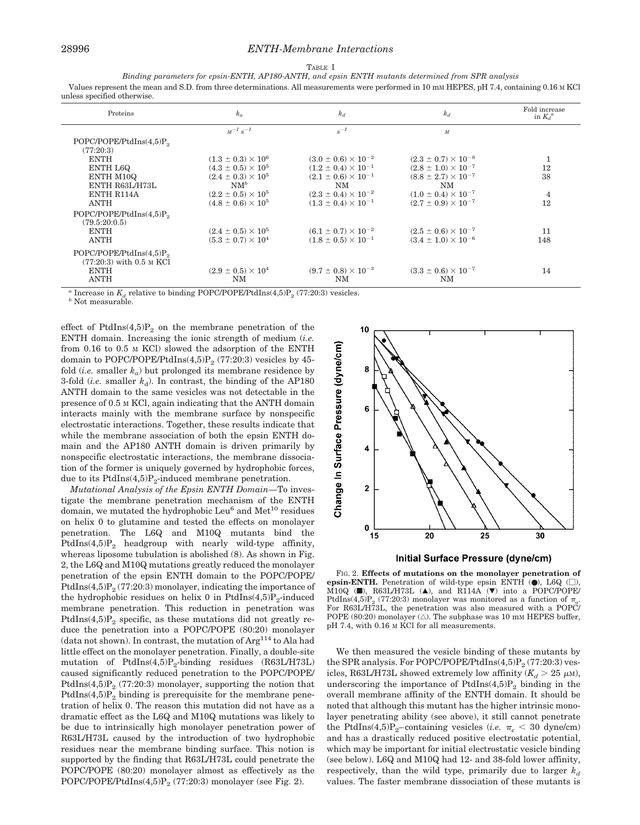*Binding parameters for epsin-ENTH, AP180-ANTH, and epsin ENTH mutants determined from SPR analysis* Values represent the mean and S.D. from three determinations. All measurements were performed in 10 mM HEPES, pH 7.4, containing 0.16 M KCl unless specified otherwise.

| Proteins                                                                              | $k_a$                       | $k_d$                          | $k_d$                          | Fold increase<br>in $K_d^a$ |
|---------------------------------------------------------------------------------------|-----------------------------|--------------------------------|--------------------------------|-----------------------------|
|                                                                                       | $M^{-1} s^{-1}$             | $s^{-1}$                       | $\overline{M}$                 |                             |
| POPC/POPE/PHdIns(4,5)P <sub>2</sub>                                                   |                             |                                |                                |                             |
| (77:20:3)                                                                             |                             |                                |                                |                             |
| <b>ENTH</b>                                                                           | $(1.3 \pm 0.3) \times 10^6$ | $(3.0 \pm 0.6) \times 10^{-2}$ | $(2.3 \pm 0.7) \times 10^{-8}$ | 1                           |
| ENTH L6Q                                                                              | $(4.3 \pm 0.5) \times 10^5$ | $(1.2 \pm 0.4) \times 10^{-1}$ | $(2.8 \pm 1.0) \times 10^{-7}$ | 12                          |
| ENTH M10Q                                                                             | $(2.4 \pm 0.3) \times 10^5$ | $(2.1 \pm 0.6) \times 10^{-1}$ | $(8.8 \pm 2.7) \times 10^{-7}$ | 38                          |
| ENTH R63L/H73L                                                                        | $NM^b$                      | NM                             | NM                             |                             |
| <b>ENTH R114A</b>                                                                     | $(2.2 \pm 0.5) \times 10^5$ | $(2.3 \pm 0.4) \times 10^{-2}$ | $(1.0 \pm 0.4) \times 10^{-7}$ | $\overline{4}$              |
| ANTH                                                                                  | $(4.8 \pm 0.6) \times 10^5$ | $(1.3 \pm 0.4) \times 10^{-1}$ | $(2.7 \pm 0.9) \times 10^{-7}$ | 12                          |
| POPC/POPE/PHdIns(4,5)P <sub>2</sub>                                                   |                             |                                |                                |                             |
| (79.5:20:0.5)                                                                         |                             |                                |                                |                             |
| <b>ENTH</b>                                                                           | $(2.4 \pm 0.5) \times 10^5$ | $(6.1 \pm 0.7) \times 10^{-2}$ | $(2.5 \pm 0.6) \times 10^{-7}$ | 11                          |
| <b>ANTH</b>                                                                           | $(5.3 \pm 0.7) \times 10^4$ | $(1.8 \pm 0.5) \times 10^{-1}$ | $(3.4 \pm 1.0) \times 10^{-6}$ | 148                         |
| POPC/POPE/PrdIns(4,5)P <sub>2</sub>                                                   |                             |                                |                                |                             |
| $(77:20:3)$ with 0.5 M KCl                                                            |                             |                                |                                |                             |
| <b>ENTH</b>                                                                           | $(2.9 \pm 0.5) \times 10^4$ | $(9.7 \pm 0.8) \times 10^{-3}$ | $(3.3 \pm 0.6) \times 10^{-7}$ | 14                          |
| ANTH                                                                                  | NM                          | NM                             | NM                             |                             |
| $\alpha$ Increase in K, relative to binding PODC/DODF/DtdIng(A.5) $(77.90.9)$ vegides |                             |                                |                                |                             |

*a* Increase in  $K_d$  relative to binding POPC/POPE/PtdIns(4,5)P<sub>2</sub> (77:20:3) vesicles. *b* Not measurable.

effect of PtdIns $(4,5)P_2$  on the membrane penetration of the ENTH domain. Increasing the ionic strength of medium (*i.e.* from 0.16 to 0.5 M KCl) slowed the adsorption of the ENTH domain to POPC/POPE/PtdIns(4,5) $P_2$  (77:20:3) vesicles by 45fold  $(i.e.$  smaller  $k_a$ ) but prolonged its membrane residence by 3-fold (*i.e.* smaller  $k_d$ ). In contrast, the binding of the AP180 ANTH domain to the same vesicles was not detectable in the presence of 0.5 M KCl, again indicating that the ANTH domain interacts mainly with the membrane surface by nonspecific electrostatic interactions. Together, these results indicate that while the membrane association of both the epsin ENTH domain and the AP180 ANTH domain is driven primarily by nonspecific electrostatic interactions, the membrane dissociation of the former is uniquely governed by hydrophobic forces, due to its  $PtdIns(4,5)P_2$ -induced membrane penetration.

*Mutational Analysis of the Epsin ENTH Domain—*To investigate the membrane penetration mechanism of the ENTH domain, we mutated the hydrophobic  $Leu<sup>6</sup>$  and  $Met<sup>10</sup>$  residues on helix 0 to glutamine and tested the effects on monolayer penetration. The L6Q and M10Q mutants bind the PtdIns $(4,5)P_2$  headgroup with nearly wild-type affinity, whereas liposome tubulation is abolished (8). As shown in Fig. 2, the L6Q and M10Q mutations greatly reduced the monolayer penetration of the epsin ENTH domain to the POPC/POPE/ PtdIns $(4,5)P_2$  (77:20:3) monolayer, indicating the importance of the hydrophobic residues on helix 0 in PtdIns $(4,5)P_2$ -induced membrane penetration. This reduction in penetration was PtdIns $(4,5)P_2$  specific, as these mutations did not greatly reduce the penetration into a POPC/POPE (80:20) monolayer (data not shown). In contrast, the mutation of Arg<sup>114</sup> to Ala had little effect on the monolayer penetration. Finally, a double-site mutation of  $PtdIns(4,5)P_{2}$ -binding residues  $(R63L/H73L)$ caused significantly reduced penetration to the POPC/POPE/ PtdIns $(4,5)P<sub>2</sub>$  (77:20:3) monolayer, supporting the notion that PtdIns $(4,5)P_2$  binding is prerequisite for the membrane penetration of helix 0. The reason this mutation did not have as a dramatic effect as the L6Q and M10Q mutations was likely to be due to intrinsically high monolayer penetration power of R63L/H73L caused by the introduction of two hydrophobic residues near the membrane binding surface. This notion is supported by the finding that R63L/H73L could penetrate the POPC/POPE (80:20) monolayer almost as effectively as the POPC/POPE/PtdIns $(4,5)P_2$  (77:20:3) monolayer (see Fig. 2).



FIG. 2. **Effects of mutations on the monolayer penetration of**

**epsin-ENTH.** Penetration of wild-type epsin ENTH  $(\bullet)$ , L6Q  $(\Box)$ ,  $\overline{M}$ 10Q ( $\blacksquare$ ), R63L/H73L ( $\blacktriangle$ ), and R114A ( $\nabla$ ) into a POPC/POPE/ PtdIns(4,5)P<sub>2</sub> (77:20:3) monolayer was monitored as a function of  $\pi_{0}$ . For R63L/H73L, the penetration was also measured with a POPC/ POPE (80:20) monolayer  $(\triangle)$ . The subphase was 10 mM HEPES buffer, pH 7.4, with 0.16 M KCl for all measurements.

We then measured the vesicle binding of these mutants by the SPR analysis. For POPC/POPE/PtdIns $(4,5)P<sub>2</sub>$  (77:20:3) vesicles, R63L/H73L showed extremely low affinity ( $K_d > 25 \mu$ <sub>M</sub>), underscoring the importance of  $PtdIns(4,5)P_2$  binding in the overall membrane affinity of the ENTH domain. It should be noted that although this mutant has the higher intrinsic monolayer penetrating ability (see above), it still cannot penetrate the PtdIns(4,5)P<sub>2</sub>–containing vesicles (*i.e.*  $\pi_c$  < 30 dyne/cm) and has a drastically reduced positive electrostatic potential, which may be important for initial electrostatic vesicle binding (see below). L6Q and M10Q had 12- and 38-fold lower affinity, respectively, than the wild type, primarily due to larger  $k_d$ values. The faster membrane dissociation of these mutants is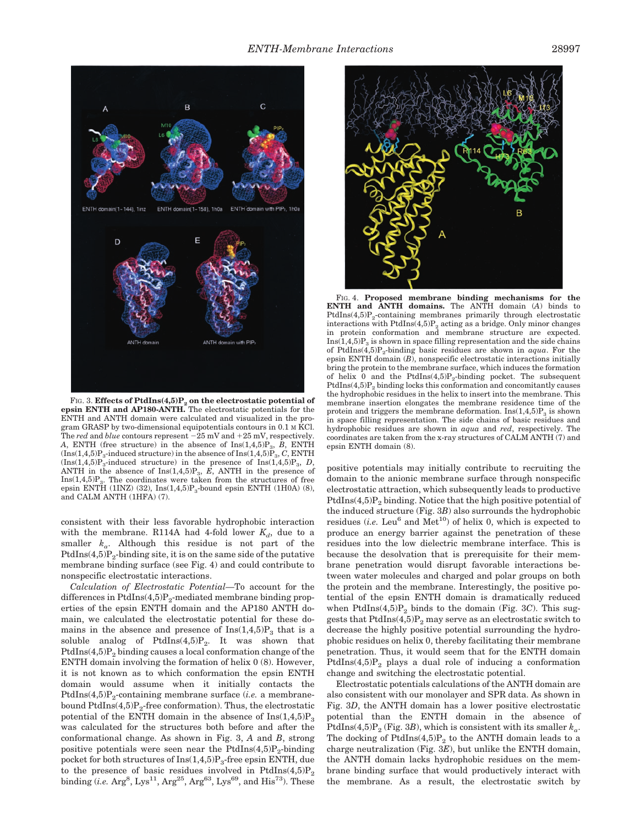

FIG. 3. **Effects of PtdIns(4,5)P<sub>2</sub> on the electrostatic potential of epsin ENTH and AP180-ANTH.** The electrostatic potentials for the ENTH and ANTH domain were calculated and visualized in the program GRASP by two-dimensional equipotentials contours in 0.1 M KCl. The *red* and *blue* contours represent  $-25$  mV and  $+25$  mV, respectively. *A*, ENTH (free structure) in the absence of  $\text{Ins}(1,4,5)P_3$ , *B*, ENTH  $(\text{Ins}(1,4,5)P_3\text{-induced structure})$  in the absence of  $\text{Ins}(1,4,5)P_3$ , *C*, ENTH  $(Ins(1,4,5)P_3$ -induced structure) in the presence of  $Ins(1,4,5)P_3$ , *D*, ANTH in the absence of  $Ins(1,4,5)P_3$ ,  $\overline{E}$ , ANTH in the presence of  $Ins(1,4,5)P_3$ . The coordinates were taken from the structures of free epsin ENTH (1INZ) (32),  $Ins(1,4,5)P_3$ -bound epsin ENTH (1H0A) (8), and CALM ANTH (1HFA) (7).

consistent with their less favorable hydrophobic interaction with the membrane. R114A had 4-fold lower  $K_d$ , due to a smaller  $k_a$ . Although this residue is not part of the  $PtdIns(4,5)P_2$ -binding site, it is on the same side of the putative membrane binding surface (see Fig. 4) and could contribute to nonspecific electrostatic interactions.

*Calculation of Electrostatic Potential—*To account for the differences in  $PtdIns(4,5)P_2$ -mediated membrane binding properties of the epsin ENTH domain and the AP180 ANTH domain, we calculated the electrostatic potential for these domains in the absence and presence of  $Ins(1,4,5)P_3$  that is a soluble analog of  $PtdIns(4,5)P_2$ . It was shown that  $PtdIns(4,5)P<sub>2</sub>$  binding causes a local conformation change of the ENTH domain involving the formation of helix 0 (8). However, it is not known as to which conformation the epsin ENTH domain would assume when it initially contacts the PtdIns $(4,5)P_2$ -containing membrane surface *(i.e.* a membranebound  $PtdIns(4,5)P_2$ -free conformation). Thus, the electrostatic potential of the ENTH domain in the absence of  $\text{Ins}(1,4,5)P_3$ was calculated for the structures both before and after the conformational change. As shown in Fig. 3, *A* and *B*, strong positive potentials were seen near the PtdIns $(4,5)P_2$ -binding pocket for both structures of  $Ins(1,4,5)P_3$ -free epsin ENTH, due to the presence of basic residues involved in PtdIns $(4,5)P_2$ binding (*i.e.* Arg<sup>8</sup>, Lys<sup>11</sup>, Arg<sup>25</sup>, Arg<sup>63</sup>, Lys<sup>69</sup>, and His<sup>73</sup>). These



FIG. 4. **Proposed membrane binding mechanisms for the ENTH and ANTH domains.** The ANTH domain (*A*) binds to PtdIns $(4,5)P_2$ -containing membranes primarily through electrostatic interactions with  $PtdIns(4,5)P_2$  acting as a bridge. Only minor changes in protein conformation and membrane structure are expected.  $Ins(1,4,5)P_3$  is shown in space filling representation and the side chains of PtdIns $(4,5)P_2$ -binding basic residues are shown in *aqua*. For the epsin ENTH domain (*B*), nonspecific electrostatic interactions initially bring the protein to the membrane surface, which induces the formation of helix 0 and the PtdIns $(4,5)P_2$ -binding pocket. The subsequent  $PtdIns(4,5)P<sub>2</sub>$  binding locks this conformation and concomitantly causes the hydrophobic residues in the helix to insert into the membrane. This membrane insertion elongates the membrane residence time of the protein and triggers the membrane deformation.  $Ins(1,4,5)P_3$  is shown in space filling representation. The side chains of basic residues and hydrophobic residues are shown in *aqua* and *red*, respectively. The coordinates are taken from the x-ray structures of CALM ANTH (7) and epsin ENTH domain (8).

positive potentials may initially contribute to recruiting the domain to the anionic membrane surface through nonspecific electrostatic attraction, which subsequently leads to productive PtdIns $(4,5)P_2$  binding. Notice that the high positive potential of the induced structure (Fig. 3*B*) also surrounds the hydrophobic residues (*i.e.* Leu<sup>6</sup> and  $Met^{10}$ ) of helix 0, which is expected to produce an energy barrier against the penetration of these residues into the low dielectric membrane interface. This is because the desolvation that is prerequisite for their membrane penetration would disrupt favorable interactions between water molecules and charged and polar groups on both the protein and the membrane. Interestingly, the positive potential of the epsin ENTH domain is dramatically reduced when  $PtdIns(4,5)P_2$  binds to the domain (Fig. 3*C*). This suggests that  $PtdIns(4,5)P_2$  may serve as an electrostatic switch to decrease the highly positive potential surrounding the hydrophobic residues on helix 0, thereby facilitating their membrane penetration. Thus, it would seem that for the ENTH domain PtdIns $(4,5)P_2$  plays a dual role of inducing a conformation change and switching the electrostatic potential.

Electrostatic potentials calculations of the ANTH domain are also consistent with our monolayer and SPR data. As shown in Fig. 3*D*, the ANTH domain has a lower positive electrostatic potential than the ENTH domain in the absence of PtdIns(4,5) $P_2$  (Fig. 3*B*), which is consistent with its smaller  $k_a$ . The docking of PtdIns $(4,5)P_2$  to the ANTH domain leads to a charge neutralization (Fig. 3*E*), but unlike the ENTH domain, the ANTH domain lacks hydrophobic residues on the membrane binding surface that would productively interact with the membrane. As a result, the electrostatic switch by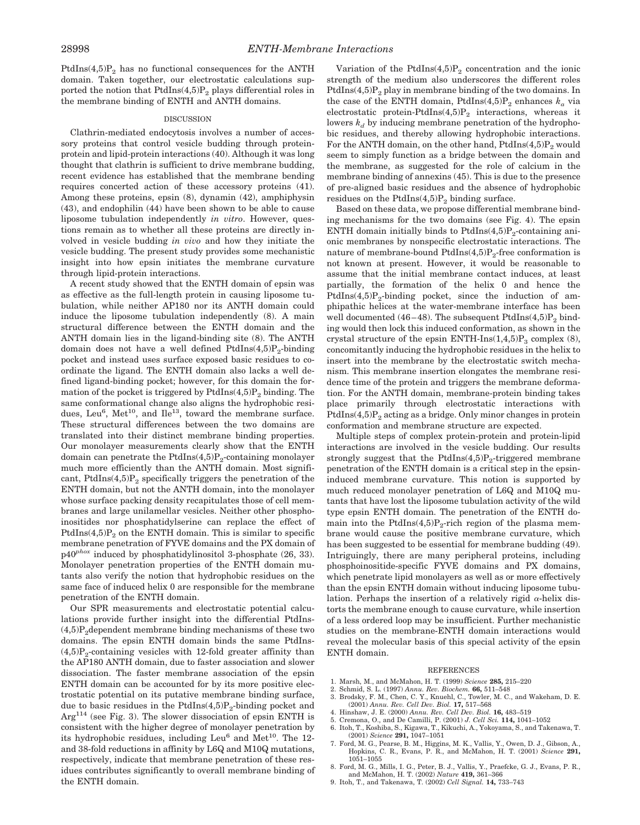PtdIns $(4,5)P_2$  has no functional consequences for the ANTH domain. Taken together, our electrostatic calculations supported the notion that  $PtdIns(4,5)P_2$  plays differential roles in the membrane binding of ENTH and ANTH domains.

#### **DISCUSSION**

Clathrin-mediated endocytosis involves a number of accessory proteins that control vesicle budding through proteinprotein and lipid-protein interactions (40). Although it was long thought that clathrin is sufficient to drive membrane budding, recent evidence has established that the membrane bending requires concerted action of these accessory proteins (41). Among these proteins, epsin (8), dynamin (42), amphiphysin (43), and endophilin (44) have been shown to be able to cause liposome tubulation independently *in vitro*. However, questions remain as to whether all these proteins are directly involved in vesicle budding *in vivo* and how they initiate the vesicle budding. The present study provides some mechanistic insight into how epsin initiates the membrane curvature through lipid-protein interactions.

A recent study showed that the ENTH domain of epsin was as effective as the full-length protein in causing liposome tubulation, while neither AP180 nor its ANTH domain could induce the liposome tubulation independently (8). A main structural difference between the ENTH domain and the ANTH domain lies in the ligand-binding site (8). The ANTH domain does not have a well defined  $PtdIns(4,5)P_2$ -binding pocket and instead uses surface exposed basic residues to coordinate the ligand. The ENTH domain also lacks a well defined ligand-binding pocket; however, for this domain the formation of the pocket is triggered by  $PtdIns(4,5)P_2$  binding. The same conformational change also aligns the hydrophobic residues, Leu<sup>6</sup>, Met<sup>10</sup>, and Ile<sup>13</sup>, toward the membrane surface. These structural differences between the two domains are translated into their distinct membrane binding properties. Our monolayer measurements clearly show that the ENTH domain can penetrate the PtdIns $(4,5)P_2$ -containing monolayer much more efficiently than the ANTH domain. Most significant, PtdIns $(4,5)P_2$  specifically triggers the penetration of the ENTH domain, but not the ANTH domain, into the monolayer whose surface packing density recapitulates those of cell membranes and large unilamellar vesicles. Neither other phosphoinositides nor phosphatidylserine can replace the effect of PtdIns $(4,5)P_2$  on the ENTH domain. This is similar to specific membrane penetration of FYVE domains and the PX domain of p40*phox* induced by phosphatidylinositol 3-phosphate (26, 33). Monolayer penetration properties of the ENTH domain mutants also verify the notion that hydrophobic residues on the same face of induced helix 0 are responsible for the membrane penetration of the ENTH domain.

Our SPR measurements and electrostatic potential calculations provide further insight into the differential PtdIns-  $(4,5)P_2$ dependent membrane binding mechanisms of these two domains. The epsin ENTH domain binds the same PtdIns-  $(4.5)P<sub>2</sub>$ -containing vesicles with 12-fold greater affinity than the AP180 ANTH domain, due to faster association and slower dissociation. The faster membrane association of the epsin ENTH domain can be accounted for by its more positive electrostatic potential on its putative membrane binding surface, due to basic residues in the  $PtdIns(4,5)P_2$ -binding pocket and  $Arg<sup>114</sup>$  (see Fig. 3). The slower dissociation of epsin ENTH is consistent with the higher degree of monolayer penetration by its hydrophobic residues, including  $Leu<sup>6</sup>$  and  $Met<sup>10</sup>$ . The 12and 38-fold reductions in affinity by L6Q and M10Q mutations, respectively, indicate that membrane penetration of these residues contributes significantly to overall membrane binding of the ENTH domain.

Variation of the PtdIns $(4,5)P_2$  concentration and the ionic strength of the medium also underscores the different roles PtdIns $(4,5)P_2$  play in membrane binding of the two domains. In the case of the ENTH domain, PtdIns(4,5) $P_2$  enhances  $k_a$  via electrostatic protein-PtdIns $(4,5)P_2$  interactions, whereas it lowers  $k_d$  by inducing membrane penetration of the hydrophobic residues, and thereby allowing hydrophobic interactions. For the ANTH domain, on the other hand,  $PtdIns(4,5)P_2$  would seem to simply function as a bridge between the domain and the membrane, as suggested for the role of calcium in the membrane binding of annexins (45). This is due to the presence of pre-aligned basic residues and the absence of hydrophobic residues on the PtdIns $(4,5)P_2$  binding surface.

Based on these data, we propose differential membrane binding mechanisms for the two domains (see Fig. 4). The epsin ENTH domain initially binds to  $PtdIns(4,5)P_2$ -containing anionic membranes by nonspecific electrostatic interactions. The nature of membrane-bound  $PtdIns(4,5)P_2$ -free conformation is not known at present. However, it would be reasonable to assume that the initial membrane contact induces, at least partially, the formation of the helix 0 and hence the PtdIns $(4,5)P_2$ -binding pocket, since the induction of amphipathic helices at the water-membrane interface has been well documented (46–48). The subsequent  $PtdIns(4,5)P_2$  binding would then lock this induced conformation, as shown in the crystal structure of the epsin ENTH-Ins $(1,4,5)P_3$  complex (8), concomitantly inducing the hydrophobic residues in the helix to insert into the membrane by the electrostatic switch mechanism. This membrane insertion elongates the membrane residence time of the protein and triggers the membrane deformation. For the ANTH domain, membrane-protein binding takes place primarily through electrostatic interactions with  $PtdIns(4,5)P<sub>2</sub> acting as a bridge. Only minor changes in protein$ conformation and membrane structure are expected.

Multiple steps of complex protein-protein and protein-lipid interactions are involved in the vesicle budding. Our results strongly suggest that the PtdIns $(4,5)P_2$ -triggered membrane penetration of the ENTH domain is a critical step in the epsininduced membrane curvature. This notion is supported by much reduced monolayer penetration of L6Q and M10Q mutants that have lost the liposome tubulation activity of the wild type epsin ENTH domain. The penetration of the ENTH domain into the PtdIns $(4,5)P_2$ -rich region of the plasma membrane would cause the positive membrane curvature, which has been suggested to be essential for membrane budding (49). Intriguingly, there are many peripheral proteins, including phosphoinositide-specific FYVE domains and PX domains, which penetrate lipid monolayers as well as or more effectively than the epsin ENTH domain without inducing liposome tubulation. Perhaps the insertion of a relatively rigid  $\alpha$ -helix distorts the membrane enough to cause curvature, while insertion of a less ordered loop may be insufficient. Further mechanistic studies on the membrane-ENTH domain interactions would reveal the molecular basis of this special activity of the epsin ENTH domain.

### REFERENCES

- 1. Marsh, M., and McMahon, H. T. (1999) *Science* **285,** 215–220
- 2. Schmid, S. L. (1997) *Annu. Rev. Biochem.* **66,** 511–548
- 3. Brodsky, F. M., Chen, C. Y., Knuehl, C., Towler, M. C., and Wakeham, D. E. (2001) *Annu. Rev. Cell Dev. Biol.* **17,** 517–568
- 4. Hinshaw, J. E. (2000) *Annu. Rev. Cell Dev. Biol.* **16,** 483–519
- 5. Cremona, O., and De Camilli, P. (2001) *J. Cell Sci.* **114,** 1041–1052
- 6. Itoh, T., Koshiba, S., Kigawa, T., Kikuchi, A., Yokoyama, S., and Takenawa, T. (2001) *Science* **291,** 1047–1051
- 7. Ford, M. G., Pearse, B. M., Higgins, M. K., Vallis, Y., Owen, D. J., Gibson, A., Hopkins, C. R., Evans, P. R., and McMahon, H. T. (2001) *Science* **291,** 1051–1055
- 8. Ford, M. G., Mills, I. G., Peter, B. J., Vallis, Y., Praefcke, G. J., Evans, P. R., and McMahon, H. T. (2002) *Nature* **419,** 361–366
- 9. Itoh, T., and Takenawa, T. (2002) *Cell Signal.* **14,** 733–743